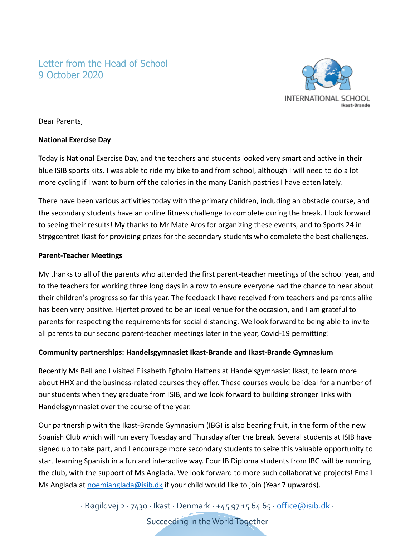# Letter from the Head of School 9 October 2020



Dear Parents,

## **National Exercise Day**

Today is National Exercise Day, and the teachers and students looked very smart and active in their blue ISIB sports kits. I was able to ride my bike to and from school, although I will need to do a lot more cycling if I want to burn off the calories in the many Danish pastries I have eaten lately.

There have been various activities today with the primary children, including an obstacle course, and the secondary students have an online fitness challenge to complete during the break. I look forward to seeing their results! My thanks to Mr Mate Aros for organizing these events, and to Sports 24 in Strøgcentret Ikast for providing prizes for the secondary students who complete the best challenges.

## **Parent-Teacher Meetings**

My thanks to all of the parents who attended the first parent-teacher meetings of the school year, and to the teachers for working three long days in a row to ensure everyone had the chance to hear about their children's progress so far this year. The feedback I have received from teachers and parents alike has been very positive. Hjertet proved to be an ideal venue for the occasion, and I am grateful to parents for respecting the requirements for social distancing. We look forward to being able to invite all parents to our second parent-teacher meetings later in the year, Covid-19 permitting!

## **Community partnerships: Handelsgymnasiet Ikast-Brande and Ikast-Brande Gymnasium**

Recently Ms Bell and I visited Elisabeth Egholm Hattens at Handelsgymnasiet Ikast, to learn more about HHX and the business-related courses they offer. These courses would be ideal for a number of our students when they graduate from ISIB, and we look forward to building stronger links with Handelsgymnasiet over the course of the year.

Our partnership with the Ikast-Brande Gymnasium (IBG) is also bearing fruit, in the form of the new Spanish Club which will run every Tuesday and Thursday after the break. Several students at ISIB have signed up to take part, and I encourage more secondary students to seize this valuable opportunity to start learning Spanish in a fun and interactive way. Four IB Diploma students from IBG will be running the club, with the support of Ms Anglada. We look forward to more such collaborative projects! Email Ms Anglada at [noemianglada@isib.dk](mailto:noemianglada@isib.dk) if your child would like to join (Year 7 upwards).

∙ Bøgildvej 2 ∙ 7430 ∙ Ikast ∙ Denmark ∙ +45 97 15 64 65 ∙ [office@isib.dk](mailto:office@isib.dk) ∙

Succeeding in the World Together